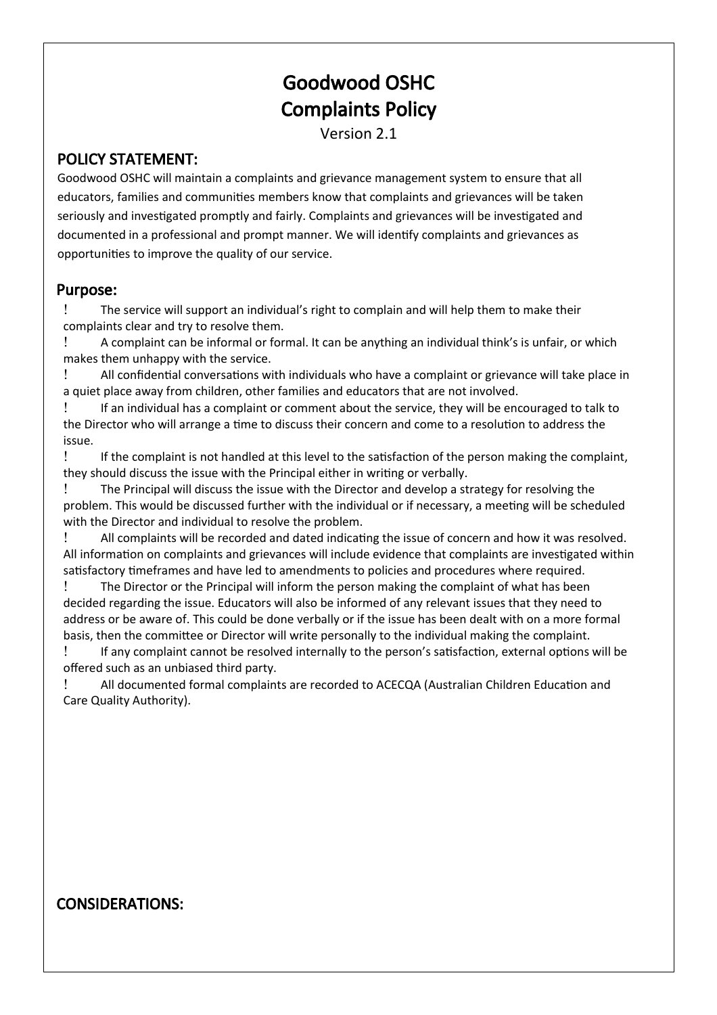# Goodwood OSHC Complaints Policy

Version 2.1

#### POLICY STATEMENT:

Goodwood OSHC will maintain a complaints and grievance management system to ensure that all educators, families and communites members know that complaints and grievances will be taken seriously and investigated promptly and fairly. Complaints and grievances will be investigated and documented in a professional and prompt manner. We will identfy complaints and grievances as opportunites to improve the quality of our service.

#### Purpose:

 The service will support an individual's right to complain and will help them to make their complaints clear and try to resolve them.

 A complaint can be informal or formal. It can be anything an individual think's is unfair, or which makes them unhappy with the service.

 All confdental conversatons with individuals who have a complaint or grievance will take place in a quiet place away from children, other families and educators that are not involved.

 If an individual has a complaint or comment about the service, they will be encouraged to talk to the Director who will arrange a time to discuss their concern and come to a resolution to address the issue.

 If the complaint is not handled at this level to the satsfacton of the person making the complaint, they should discuss the issue with the Principal either in writng or verbally.

 The Principal will discuss the issue with the Director and develop a strategy for resolving the problem. This would be discussed further with the individual or if necessary, a meetng will be scheduled with the Director and individual to resolve the problem.

 All complaints will be recorded and dated indicatng the issue of concern and how it was resolved. All information on complaints and grievances will include evidence that complaints are investigated within satisfactory timeframes and have led to amendments to policies and procedures where required.

 The Director or the Principal will inform the person making the complaint of what has been decided regarding the issue. Educators will also be informed of any relevant issues that they need to address or be aware of. This could be done verbally or if the issue has been dealt with on a more formal basis, then the commitee or Director will write personally to the individual making the complaint.

 If any complaint cannot be resolved internally to the person's satsfacton, external optons will be offered such as an unbiased third party.

 All documented formal complaints are recorded to ACECQA (Australian Children Educaton and Care Quality Authority).

### CONSIDERATIONS: